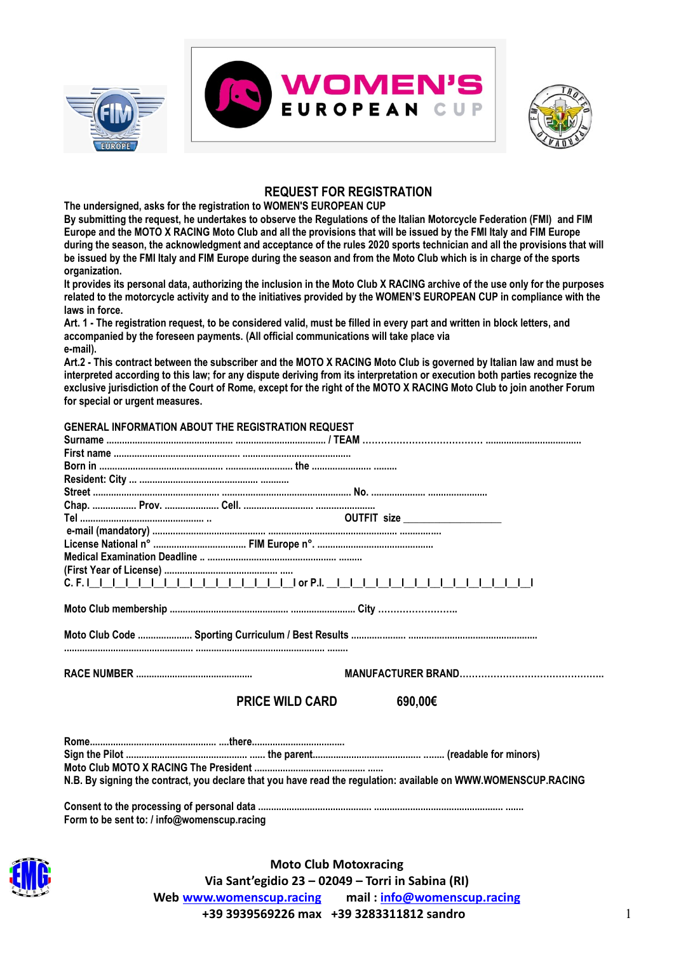



## **REQUEST FOR REGISTRATION**

**The undersigned, asks for the registration to WOMEN'S EUROPEAN CUP**

**By submitting the request, he undertakes to observe the Regulations of the Italian Motorcycle Federation (FMI) and FIM Europe and the MOTO X RACING Moto Club and all the provisions that will be issued by the FMI Italy and FIM Europe during the season, the acknowledgment and acceptance of the rules 2020 sports technician and all the provisions that will be issued by the FMI Italy and FIM Europe during the season and from the Moto Club which is in charge of the sports organization.**

**It provides its personal data, authorizing the inclusion in the Moto Club X RACING archive of the use only for the purposes related to the motorcycle activity and to the initiatives provided by the WOMEN'S EUROPEAN CUP in compliance with the laws in force.**

**Art. 1 - The registration request, to be considered valid, must be filled in every part and written in block letters, and accompanied by the foreseen payments. (All official communications will take place via e-mail).**

**Art.2 - This contract between the subscriber and the MOTO X RACING Moto Club is governed by Italian law and must be interpreted according to this law; for any dispute deriving from its interpretation or execution both parties recognize the exclusive jurisdiction of the Court of Rome, except for the right of the MOTO X RACING Moto Club to join another Forum for special or urgent measures.**

| GENERAL INFORMATION ABOUT THE REGISTRATION REQUEST                                                             |                                 |  |  |
|----------------------------------------------------------------------------------------------------------------|---------------------------------|--|--|
|                                                                                                                |                                 |  |  |
|                                                                                                                |                                 |  |  |
|                                                                                                                |                                 |  |  |
|                                                                                                                |                                 |  |  |
|                                                                                                                |                                 |  |  |
|                                                                                                                |                                 |  |  |
|                                                                                                                | OUTFIT size ___________________ |  |  |
|                                                                                                                |                                 |  |  |
|                                                                                                                |                                 |  |  |
|                                                                                                                |                                 |  |  |
|                                                                                                                |                                 |  |  |
|                                                                                                                |                                 |  |  |
|                                                                                                                |                                 |  |  |
|                                                                                                                |                                 |  |  |
|                                                                                                                |                                 |  |  |
|                                                                                                                |                                 |  |  |
|                                                                                                                |                                 |  |  |
|                                                                                                                |                                 |  |  |
|                                                                                                                |                                 |  |  |
|                                                                                                                |                                 |  |  |
| <b>PRICE WILD CARD</b>                                                                                         | 690,00€                         |  |  |
|                                                                                                                |                                 |  |  |
|                                                                                                                |                                 |  |  |
|                                                                                                                |                                 |  |  |
|                                                                                                                |                                 |  |  |
|                                                                                                                |                                 |  |  |
| N.B. By signing the contract, you declare that you have read the regulation: available on WWW.WOMENSCUP.RACING |                                 |  |  |
|                                                                                                                |                                 |  |  |
|                                                                                                                |                                 |  |  |
| Form to be sent to: / info@womenscup.racing                                                                    |                                 |  |  |



**Moto Club Motoxracing Via Sant'egidio 23 – 02049 – Torri in Sabina (RI) Web [www.womenscup.racing](http://www.womenscup.racing/) mail : [info@womenscup.racing](mailto:info@womenscup.racing) +39 3939569226 max +39 3283311812 sandro** 1